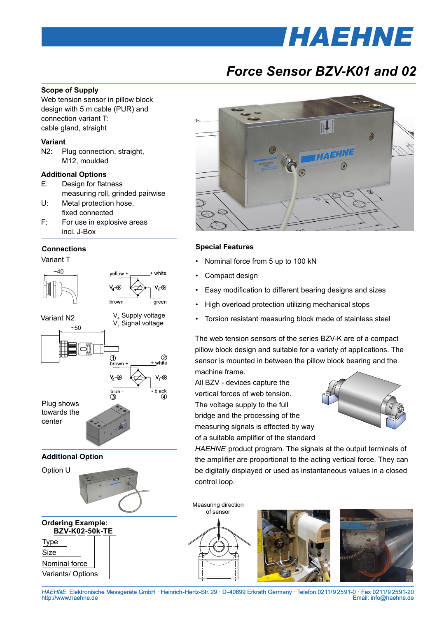# *HAEHNE*

### *Force Sensor BZV-K01 and 02*

#### **Scope of Supply**

Web tension sensor in pillow block design with 5 m cable (PUR) and connection variant T: cable gland, straight

#### **Variant**

N2: Plug connection, straight, M12, moulded

#### **Additional Options**

- E: Design for flatness measuring roll, grinded pairwise
- U: Metal protection hose, fixed connected
- F: For use in explosive areas incl. J-Box

#### **Connections**

Variant T



#### **BZV-K02-50k-TE** Type Size Nominal force **Ordering Example:**

Variants/ Options



#### **Special Features**

- Nominal force from 5 up to 100 kN
- Compact design
- Easy modification to different bearing designs and sizes
- High overload protection utilizing mechanical stops
- Torsion resistant measuring block made of stainless steel

The web tension sensors of the series BZV-K are of a compact pillow block design and suitable for a variety of applications. The sensor is mounted in between the pillow block bearing and the machine frame.

All BZV - devices capture the vertical forces of web tension. The voltage supply to the full bridge and the processing of the measuring signals is effected by way of a suitable amplifier of the standard



*HAEHNE* product program. The signals at the output terminals of the amplifier are proportional to the acting vertical force. They can be digitally displayed or used as instantaneous values in a closed control loop.

Measuring direction of sensor







*HAEHNE* Elektronische Messgeräte GmbH · Heinrich-Hertz-Str. 29 · D-40699 Erkrath Germany · Telefon 0211/9 25 91-0 · Fax 0211/9 25 91-20 Email: info@haehne.de